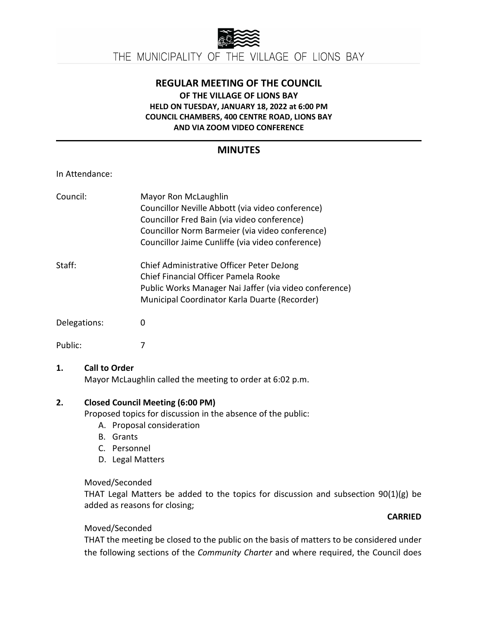

## **REGULAR MEETING OF THE COUNCIL OF THE VILLAGE OF LIONS BAY HELD ON TUESDAY, JANUARY 18, 2022 at 6:00 PM COUNCIL CHAMBERS, 400 CENTRE ROAD, LIONS BAY AND VIA ZOOM VIDEO CONFERENCE**

# **MINUTES**

### In Attendance:

| Council:     | Mayor Ron McLaughlin<br>Councillor Neville Abbott (via video conference)<br>Councillor Fred Bain (via video conference)<br>Councillor Norm Barmeier (via video conference)<br>Councillor Jaime Cunliffe (via video conference) |
|--------------|--------------------------------------------------------------------------------------------------------------------------------------------------------------------------------------------------------------------------------|
| Staff:       | Chief Administrative Officer Peter DeJong<br>Chief Financial Officer Pamela Rooke<br>Public Works Manager Nai Jaffer (via video conference)<br>Municipal Coordinator Karla Duarte (Recorder)                                   |
| Delegations: | O                                                                                                                                                                                                                              |
| Public:      |                                                                                                                                                                                                                                |

### **1. Call to Order**

Mayor McLaughlin called the meeting to order at 6:02 p.m.

### **2. Closed Council Meeting (6:00 PM)**

Proposed topics for discussion in the absence of the public:

- A. Proposal consideration
- B. Grants
- C. Personnel
- D. Legal Matters

## Moved/Seconded

THAT Legal Matters be added to the topics for discussion and subsection 90(1)(g) be added as reasons for closing;

## **CARRIED**

## Moved/Seconded

THAT the meeting be closed to the public on the basis of matters to be considered under the following sections of the *Community Charter* and where required, the Council does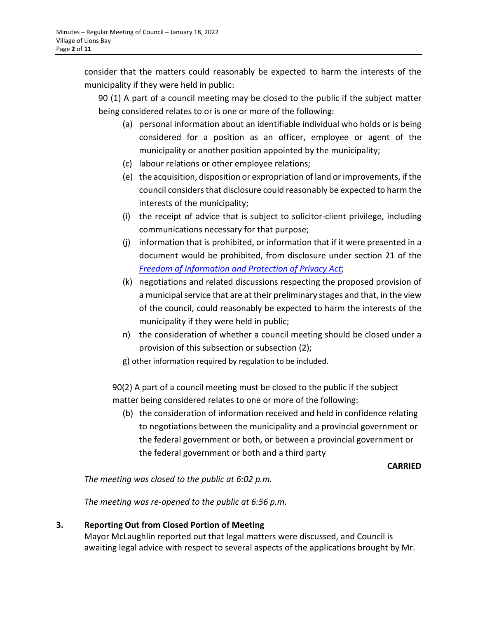consider that the matters could reasonably be expected to harm the interests of the municipality if they were held in public:

90 (1) A part of a council meeting may be closed to the public if the subject matter being considered relates to or is one or more of the following:

- (a) personal information about an identifiable individual who holds or is being considered for a position as an officer, employee or agent of the municipality or another position appointed by the municipality;
- (c) labour relations or other employee relations;
- (e) the acquisition, disposition or expropriation of land or improvements, if the council considers that disclosure could reasonably be expected to harm the interests of the municipality;
- (i) the receipt of advice that is subject to solicitor-client privilege, including communications necessary for that purpose;
- (j) information that is prohibited, or information that if it were presented in a document would be prohibited, from disclosure under section 21 of the *[Freedom of Information and Protection of Privacy Act](https://www.bclaws.gov.bc.ca/civix/document/id/complete/statreg/96165_00)*;
- (k) negotiations and related discussions respecting the proposed provision of a municipal service that are at their preliminary stages and that, in the view of the council, could reasonably be expected to harm the interests of the municipality if they were held in public;
- n) the consideration of whether a council meeting should be closed under a provision of this subsection or subsection (2);
- g) other information required by regulation to be included.

90(2) A part of a council meeting must be closed to the public if the subject matter being considered relates to one or more of the following:

(b) the consideration of information received and held in confidence relating to negotiations between the municipality and a provincial government or the federal government or both, or between a provincial government or the federal government or both and a third party

### **CARRIED**

*The meeting was closed to the public at 6:02 p.m.*

*The meeting was re-opened to the public at 6:56 p.m.*

## **3. Reporting Out from Closed Portion of Meeting**

Mayor McLaughlin reported out that legal matters were discussed, and Council is awaiting legal advice with respect to several aspects of the applications brought by Mr.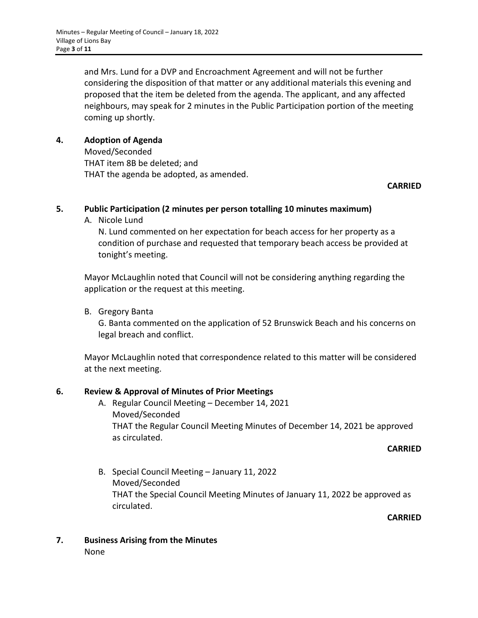and Mrs. Lund for a DVP and Encroachment Agreement and will not be further considering the disposition of that matter or any additional materials this evening and proposed that the item be deleted from the agenda. The applicant, and any affected neighbours, may speak for 2 minutes in the Public Participation portion of the meeting coming up shortly.

### **4. Adoption of Agenda**

Moved/Seconded THAT item 8B be deleted; and THAT the agenda be adopted, as amended.

### **CARRIED**

### **5. Public Participation (2 minutes per person totalling 10 minutes maximum)**

A. Nicole Lund

N. Lund commented on her expectation for beach access for her property as a condition of purchase and requested that temporary beach access be provided at tonight's meeting.

Mayor McLaughlin noted that Council will not be considering anything regarding the application or the request at this meeting.

B. Gregory Banta

G. Banta commented on the application of 52 Brunswick Beach and his concerns on legal breach and conflict.

Mayor McLaughlin noted that correspondence related to this matter will be considered at the next meeting.

### **6. Review & Approval of Minutes of Prior Meetings**

A. Regular Council Meeting – December 14, 2021 Moved/Seconded THAT the Regular Council Meeting Minutes of December 14, 2021 be approved as circulated.

#### **CARRIED**

B. Special Council Meeting – January 11, 2022 Moved/Seconded THAT the Special Council Meeting Minutes of January 11, 2022 be approved as circulated.

**CARRIED**

**7. Business Arising from the Minutes** None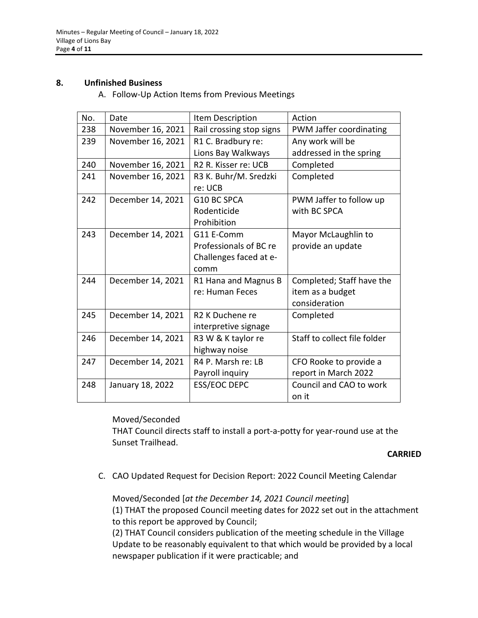#### **8. Unfinished Business**

A. Follow-Up Action Items from Previous Meetings

| No. | Date              | Item Description                 | Action                       |
|-----|-------------------|----------------------------------|------------------------------|
| 238 | November 16, 2021 | Rail crossing stop signs         | PWM Jaffer coordinating      |
| 239 | November 16, 2021 | R1 C. Bradbury re:               | Any work will be             |
|     |                   | Lions Bay Walkways               | addressed in the spring      |
| 240 | November 16, 2021 | R <sub>2</sub> R. Kisser re: UCB | Completed                    |
| 241 | November 16, 2021 | R3 K. Buhr/M. Sredzki            | Completed                    |
|     |                   | re: UCB                          |                              |
| 242 | December 14, 2021 | G10 BC SPCA                      | PWM Jaffer to follow up      |
|     |                   | Rodenticide                      | with BC SPCA                 |
|     |                   | Prohibition                      |                              |
| 243 | December 14, 2021 | G11 E-Comm                       | Mayor McLaughlin to          |
|     |                   | Professionals of BC re           | provide an update            |
|     |                   | Challenges faced at e-           |                              |
|     |                   | comm                             |                              |
| 244 | December 14, 2021 | R1 Hana and Magnus B             | Completed; Staff have the    |
|     |                   | re: Human Feces                  | item as a budget             |
|     |                   |                                  | consideration                |
| 245 | December 14, 2021 | R2 K Duchene re                  | Completed                    |
|     |                   | interpretive signage             |                              |
| 246 | December 14, 2021 | R3 W & K taylor re               | Staff to collect file folder |
|     |                   | highway noise                    |                              |
| 247 | December 14, 2021 | R4 P. Marsh re: LB               | CFO Rooke to provide a       |
|     |                   | Payroll inquiry                  | report in March 2022         |
| 248 | January 18, 2022  | <b>ESS/EOC DEPC</b>              | Council and CAO to work      |
|     |                   |                                  | on it                        |

### Moved/Seconded

THAT Council directs staff to install a port-a-potty for year-round use at the Sunset Trailhead.

#### **CARRIED**

C. CAO Updated Request for Decision Report: 2022 Council Meeting Calendar

Moved/Seconded [*at the December 14, 2021 Council meeting*]

(1) THAT the proposed Council meeting dates for 2022 set out in the attachment to this report be approved by Council;

(2) THAT Council considers publication of the meeting schedule in the Village Update to be reasonably equivalent to that which would be provided by a local newspaper publication if it were practicable; and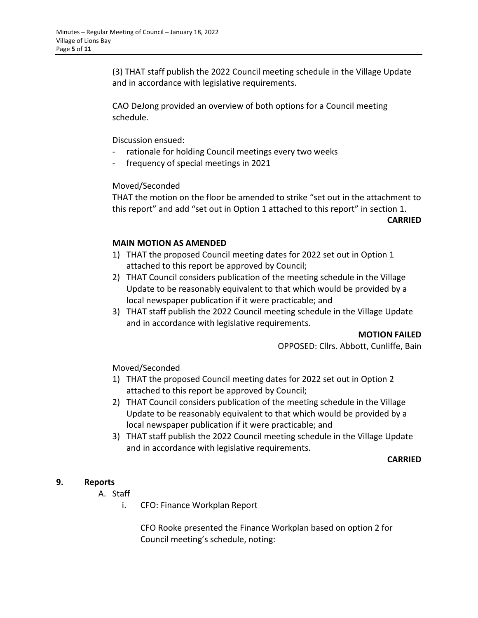(3) THAT staff publish the 2022 Council meeting schedule in the Village Update and in accordance with legislative requirements.

CAO DeJong provided an overview of both options for a Council meeting schedule.

Discussion ensued:

- rationale for holding Council meetings every two weeks
- frequency of special meetings in 2021

### Moved/Seconded

THAT the motion on the floor be amended to strike "set out in the attachment to this report" and add "set out in Option 1 attached to this report" in section 1.

**CARRIED**

### **MAIN MOTION AS AMENDED**

- 1) THAT the proposed Council meeting dates for 2022 set out in Option 1 attached to this report be approved by Council;
- 2) THAT Council considers publication of the meeting schedule in the Village Update to be reasonably equivalent to that which would be provided by a local newspaper publication if it were practicable; and
- 3) THAT staff publish the 2022 Council meeting schedule in the Village Update and in accordance with legislative requirements.

**MOTION FAILED**

OPPOSED: Cllrs. Abbott, Cunliffe, Bain

### Moved/Seconded

- 1) THAT the proposed Council meeting dates for 2022 set out in Option 2 attached to this report be approved by Council;
- 2) THAT Council considers publication of the meeting schedule in the Village Update to be reasonably equivalent to that which would be provided by a local newspaper publication if it were practicable; and
- 3) THAT staff publish the 2022 Council meeting schedule in the Village Update and in accordance with legislative requirements.

#### **CARRIED**

## **9. Reports**

- A. Staff
	- i. CFO: Finance Workplan Report

CFO Rooke presented the Finance Workplan based on option 2 for Council meeting's schedule, noting: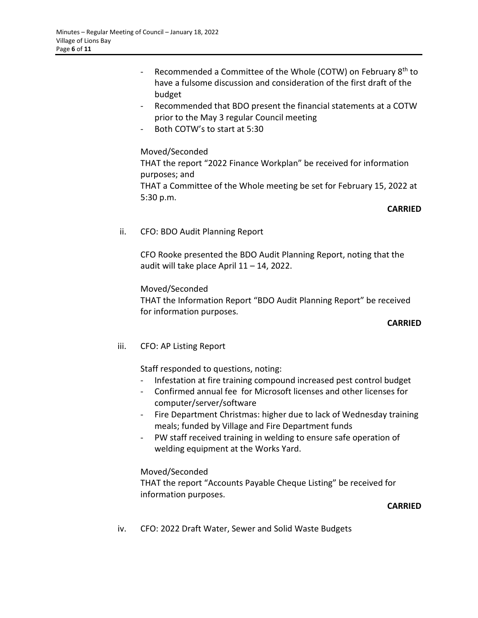- Recommended a Committee of the Whole (COTW) on February 8<sup>th</sup> to have a fulsome discussion and consideration of the first draft of the budget
- Recommended that BDO present the financial statements at a COTW prior to the May 3 regular Council meeting
- Both COTW's to start at 5:30

### Moved/Seconded

THAT the report "2022 Finance Workplan" be received for information purposes; and

THAT a Committee of the Whole meeting be set for February 15, 2022 at 5:30 p.m.

### **CARRIED**

ii. CFO: BDO Audit Planning Report

CFO Rooke presented the BDO Audit Planning Report, noting that the audit will take place April 11 – 14, 2022.

Moved/Seconded

THAT the Information Report "BDO Audit Planning Report" be received for information purposes.

#### **CARRIED**

iii. CFO: AP Listing Report

Staff responded to questions, noting:

- Infestation at fire training compound increased pest control budget
- Confirmed annual fee for Microsoft licenses and other licenses for computer/server/software
- Fire Department Christmas: higher due to lack of Wednesday training meals; funded by Village and Fire Department funds
- PW staff received training in welding to ensure safe operation of welding equipment at the Works Yard.

### Moved/Seconded

THAT the report "Accounts Payable Cheque Listing" be received for information purposes.

### **CARRIED**

iv. CFO: 2022 Draft Water, Sewer and Solid Waste Budgets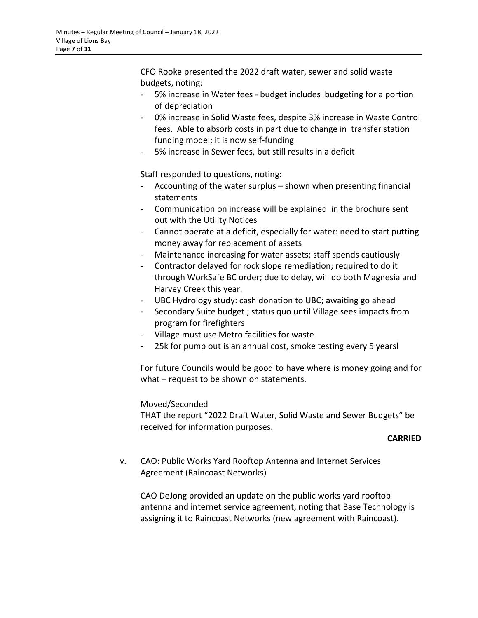CFO Rooke presented the 2022 draft water, sewer and solid waste budgets, noting:

- 5% increase in Water fees budget includes budgeting for a portion of depreciation
- 0% increase in Solid Waste fees, despite 3% increase in Waste Control fees. Able to absorb costs in part due to change in transfer station funding model; it is now self-funding
- 5% increase in Sewer fees, but still results in a deficit

Staff responded to questions, noting:

- Accounting of the water surplus shown when presenting financial statements
- Communication on increase will be explained in the brochure sent out with the Utility Notices
- Cannot operate at a deficit, especially for water: need to start putting money away for replacement of assets
- Maintenance increasing for water assets; staff spends cautiously
- Contractor delayed for rock slope remediation; required to do it through WorkSafe BC order; due to delay, will do both Magnesia and Harvey Creek this year.
- UBC Hydrology study: cash donation to UBC; awaiting go ahead
- Secondary Suite budget ; status quo until Village sees impacts from program for firefighters
- Village must use Metro facilities for waste
- 25k for pump out is an annual cost, smoke testing every 5 yearsl

For future Councils would be good to have where is money going and for what – request to be shown on statements.

Moved/Seconded

THAT the report "2022 Draft Water, Solid Waste and Sewer Budgets" be received for information purposes.

### **CARRIED**

v. CAO: Public Works Yard Rooftop Antenna and Internet Services Agreement (Raincoast Networks)

CAO DeJong provided an update on the public works yard rooftop antenna and internet service agreement, noting that Base Technology is assigning it to Raincoast Networks (new agreement with Raincoast).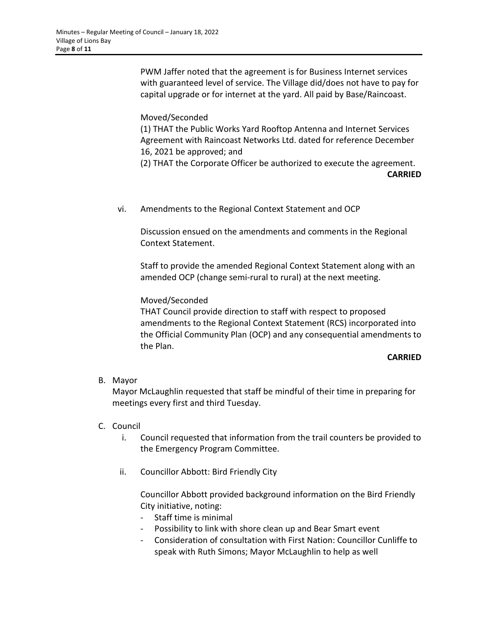PWM Jaffer noted that the agreement is for Business Internet services with guaranteed level of service. The Village did/does not have to pay for capital upgrade or for internet at the yard. All paid by Base/Raincoast.

Moved/Seconded

(1) THAT the Public Works Yard Rooftop Antenna and Internet Services Agreement with Raincoast Networks Ltd. dated for reference December 16, 2021 be approved; and

(2) THAT the Corporate Officer be authorized to execute the agreement.

**CARRIED**

vi. Amendments to the Regional Context Statement and OCP

Discussion ensued on the amendments and comments in the Regional Context Statement.

Staff to provide the amended Regional Context Statement along with an amended OCP (change semi-rural to rural) at the next meeting.

## Moved/Seconded

THAT Council provide direction to staff with respect to proposed amendments to the Regional Context Statement (RCS) incorporated into the Official Community Plan (OCP) and any consequential amendments to the Plan.

## **CARRIED**

### B. Mayor

Mayor McLaughlin requested that staff be mindful of their time in preparing for meetings every first and third Tuesday.

## C. Council

- i. Council requested that information from the trail counters be provided to the Emergency Program Committee.
- ii. Councillor Abbott: Bird Friendly City

Councillor Abbott provided background information on the Bird Friendly City initiative, noting:

- Staff time is minimal
- Possibility to link with shore clean up and Bear Smart event
- Consideration of consultation with First Nation: Councillor Cunliffe to speak with Ruth Simons; Mayor McLaughlin to help as well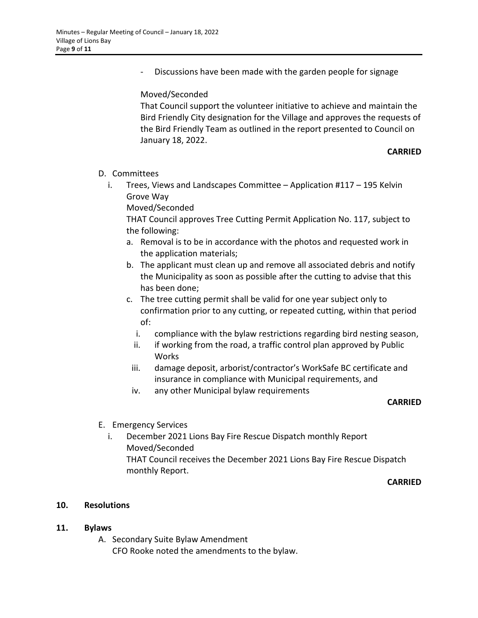Discussions have been made with the garden people for signage

#### Moved/Seconded

That Council support the volunteer initiative to achieve and maintain the Bird Friendly City designation for the Village and approves the requests of the Bird Friendly Team as outlined in the report presented to Council on January 18, 2022.

#### **CARRIED**

- D. Committees
	- i. Trees, Views and Landscapes Committee Application #117 195 Kelvin Grove Way

Moved/Seconded

THAT Council approves Tree Cutting Permit Application No. 117, subject to the following:

- a. Removal is to be in accordance with the photos and requested work in the application materials;
- b. The applicant must clean up and remove all associated debris and notify the Municipality as soon as possible after the cutting to advise that this has been done;
- c. The tree cutting permit shall be valid for one year subject only to confirmation prior to any cutting, or repeated cutting, within that period of:
	- i. compliance with the bylaw restrictions regarding bird nesting season,
	- ii. if working from the road, a traffic control plan approved by Public Works
	- iii. damage deposit, arborist/contractor's WorkSafe BC certificate and insurance in compliance with Municipal requirements, and
	- iv. any other Municipal bylaw requirements

#### **CARRIED**

- E. Emergency Services
	- i. December 2021 Lions Bay Fire Rescue Dispatch monthly Report Moved/Seconded THAT Council receives the December 2021 Lions Bay Fire Rescue Dispatch monthly Report.

#### **CARRIED**

### **10. Resolutions**

### **11. Bylaws**

A. Secondary Suite Bylaw Amendment CFO Rooke noted the amendments to the bylaw.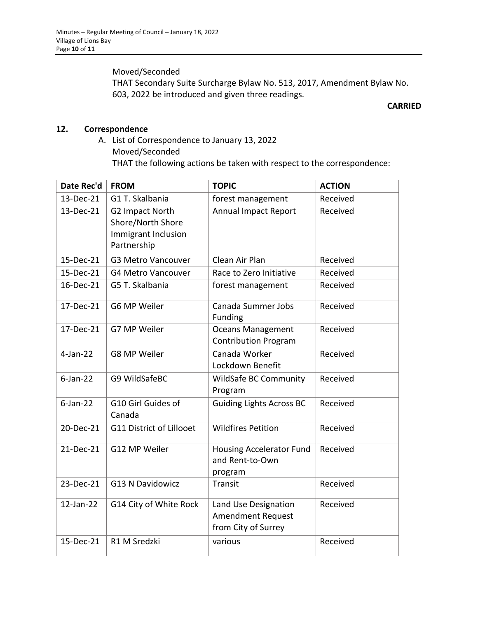Moved/Seconded

THAT Secondary Suite Surcharge Bylaw No. 513, 2017, Amendment Bylaw No. 603, 2022 be introduced and given three readings.

#### **CARRIED**

### **12. Correspondence**

A. List of Correspondence to January 13, 2022 Moved/Seconded THAT the following actions be taken with respect to the correspondence:

| Date Rec'd   | <b>FROM</b>                                                                | <b>TOPIC</b>                                                            | <b>ACTION</b> |
|--------------|----------------------------------------------------------------------------|-------------------------------------------------------------------------|---------------|
| 13-Dec-21    | G1 T. Skalbania                                                            | forest management                                                       | Received      |
| 13-Dec-21    | G2 Impact North<br>Shore/North Shore<br>Immigrant Inclusion<br>Partnership | <b>Annual Impact Report</b>                                             | Received      |
| 15-Dec-21    | <b>G3 Metro Vancouver</b>                                                  | Clean Air Plan                                                          | Received      |
| 15-Dec-21    | <b>G4 Metro Vancouver</b>                                                  | Race to Zero Initiative                                                 | Received      |
| 16-Dec-21    | G5 T. Skalbania                                                            | forest management                                                       | Received      |
| 17-Dec-21    | G6 MP Weiler                                                               | Canada Summer Jobs<br>Funding                                           | Received      |
| 17-Dec-21    | G7 MP Weiler                                                               | <b>Oceans Management</b><br><b>Contribution Program</b>                 | Received      |
| $4$ -Jan-22  | G8 MP Weiler                                                               | Canada Worker<br>Lockdown Benefit                                       | Received      |
| $6$ -Jan-22  | G9 WildSafeBC                                                              | <b>WildSafe BC Community</b><br>Program                                 | Received      |
| $6$ -Jan-22  | G10 Girl Guides of<br>Canada                                               | <b>Guiding Lights Across BC</b>                                         | Received      |
| 20-Dec-21    | G11 District of Lillooet                                                   | <b>Wildfires Petition</b>                                               | Received      |
| 21-Dec-21    | G12 MP Weiler                                                              | <b>Housing Accelerator Fund</b><br>and Rent-to-Own<br>program           | Received      |
| 23-Dec-21    | <b>G13 N Davidowicz</b>                                                    | Transit                                                                 | Received      |
| $12$ -Jan-22 | G14 City of White Rock                                                     | Land Use Designation<br><b>Amendment Request</b><br>from City of Surrey | Received      |
| 15-Dec-21    | R1 M Sredzki                                                               | various                                                                 | Received      |